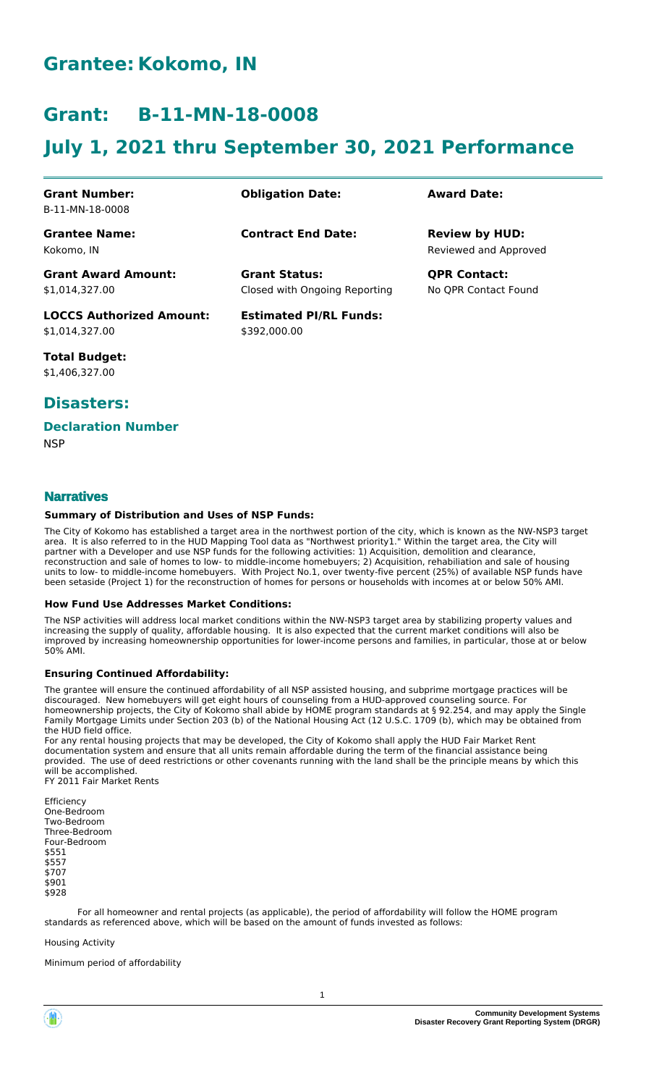# **Grantee: Kokomo, IN**

# **Grant: B-11-MN-18-0008**

# **July 1, 2021 thru September 30, 2021 Performance**

| <b>Grant Number:</b><br>B-11-MN-18-0008           | <b>Obligation Date:</b>                               | <b>Award Date:</b>                             |
|---------------------------------------------------|-------------------------------------------------------|------------------------------------------------|
| <b>Grantee Name:</b><br>Kokomo. IN                | <b>Contract End Date:</b>                             | <b>Review by HUD:</b><br>Reviewed and Approved |
| <b>Grant Award Amount:</b><br>\$1.014.327.00      | <b>Grant Status:</b><br>Closed with Ongoing Reporting | <b>QPR Contact:</b><br>No OPR Contact Found    |
| <b>LOCCS Authorized Amount:</b><br>\$1,014,327.00 | <b>Estimated PI/RL Funds:</b><br>\$392,000,00         |                                                |

**Total Budget:** \$1,406,327.00

# **Disasters:**

## **Declaration Number**

**NSP** 

# **Narratives**

### **Summary of Distribution and Uses of NSP Funds:**

The City of Kokomo has established a target area in the northwest portion of the city, which is known as the NW-NSP3 target area. It is also referred to in the HUD Mapping Tool data as "Northwest priority1." Within the target area, the City will partner with a Developer and use NSP funds for the following activities: 1) Acquisition, demolition and clearance, reconstruction and sale of homes to low- to middle-income homebuyers; 2) Acquisition, rehabiliation and sale of housing units to low- to middle-income homebuyers. With Project No.1, over twenty-five percent (25%) of available NSP funds have been setaside (Project 1) for the reconstruction of homes for persons or households with incomes at or below 50% AMI.

#### **How Fund Use Addresses Market Conditions:**

The NSP activities will address local market conditions within the NW-NSP3 target area by stabilizing property values and increasing the supply of quality, affordable housing. It is also expected that the current market conditions will also be improved by increasing homeownership opportunities for lower-income persons and families, in particular, those at or below 50% AMI.

### **Ensuring Continued Affordability:**

The grantee will ensure the continued affordability of all NSP assisted housing, and subprime mortgage practices will be discouraged. New homebuyers will get eight hours of counseling from a HUD-approved counseling source. For homeownership projects, the City of Kokomo shall abide by HOME program standards at § 92.254, and may apply the Single Family Mortgage Limits under Section 203 (b) of the National Housing Act (12 U.S.C. 1709 (b), which may be obtained from the HUD field office.

For any rental housing projects that may be developed, the City of Kokomo shall apply the HUD Fair Market Rent documentation system and ensure that all units remain affordable during the term of the financial assistance being provided. The use of deed restrictions or other covenants running with the land shall be the principle means by which this will be accomplished. FY 2011 Fair Market Rents

Efficiency One-Bedroom Two-Bedroom Three-Bedroom Four-Bedroom \$551 \$557 \$707 \$901 \$928

 For all homeowner and rental projects (as applicable), the period of affordability will follow the HOME program standards as referenced above, which will be based on the amount of funds invested as follows:

#### Housing Activity

Minimum period of affordability

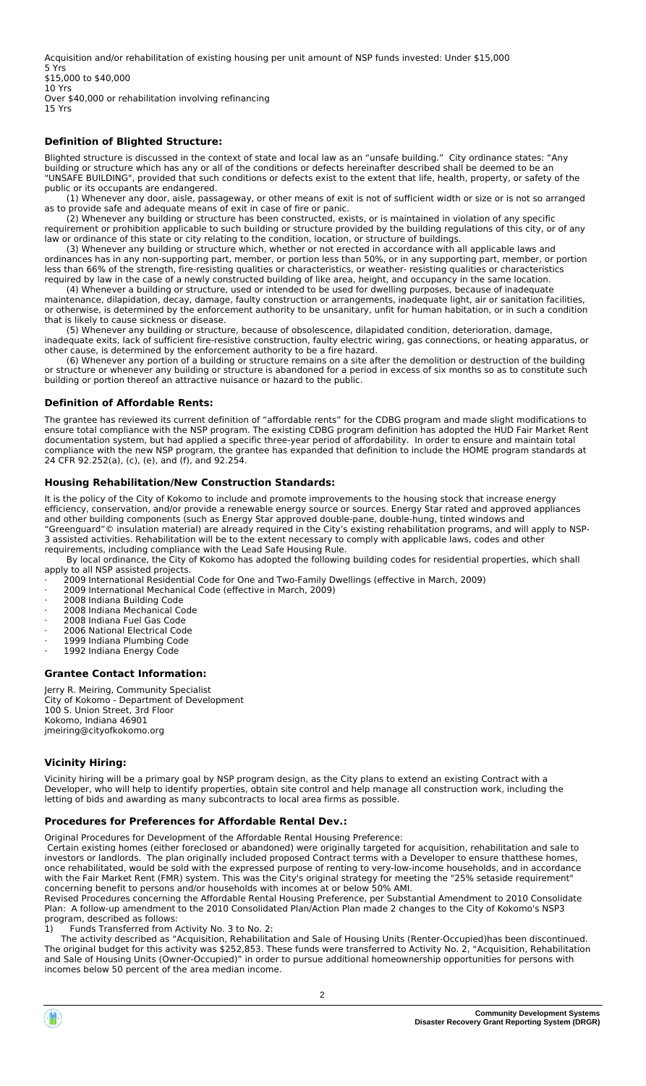Acquisition and/or rehabilitation of existing housing per unit amount of NSP funds invested: Under \$15,000 5 Yrs

\$15,000 to \$40,000 10 Yrs

Over \$40,000 or rehabilitation involving refinancing 15 Yrs

## **Definition of Blighted Structure:**

Blighted structure is discussed in the context of state and local law as an "unsafe building." City ordinance states: "Any building or structure which has any or all of the conditions or defects hereinafter described shall be deemed to be an "UNSAFE BUILDING", provided that such conditions or defects exist to the extent that life, health, property, or safety of the public or its occupants are endangered.

(1) Whenever any door, aisle, passageway, or other means of exit is not of sufficient width or size or is not so arranged as to provide safe and adequate means of exit in case of fire or panic.

 (2) Whenever any building or structure has been constructed, exists, or is maintained in violation of any specific requirement or prohibition applicable to such building or structure provided by the building regulations of this city, or of any law or ordinance of this state or city relating to the condition, location, or structure of buildings.

 (3) Whenever any building or structure which, whether or not erected in accordance with all applicable laws and ordinances has in any non-supporting part, member, or portion less than 50%, or in any supporting part, member, or portion less than 66% of the strength, fire-resisting qualities or characteristics, or weather- resisting qualities or characteristics required by law in the case of a newly constructed building of like area, height, and occupancy in the same location.

 (4) Whenever a building or structure, used or intended to be used for dwelling purposes, because of inadequate maintenance, dilapidation, decay, damage, faulty construction or arrangements, inadequate light, air or sanitation facilities, or otherwise, is determined by the enforcement authority to be unsanitary, unfit for human habitation, or in such a condition that is likely to cause sickness or disease.

 (5) Whenever any building or structure, because of obsolescence, dilapidated condition, deterioration, damage, inadequate exits, lack of sufficient fire-resistive construction, faulty electric wiring, gas connections, or heating apparatus, or other cause, is determined by the enforcement authority to be a fire hazard.

 (6) Whenever any portion of a building or structure remains on a site after the demolition or destruction of the building or structure or whenever any building or structure is abandoned for a period in excess of six months so as to constitute such building or portion thereof an attractive nuisance or hazard to the public.

### **Definition of Affordable Rents:**

The grantee has reviewed its current definition of "affordable rents" for the CDBG program and made slight modifications to ensure total compliance with the NSP program. The existing CDBG program definition has adopted the HUD Fair Market Rent documentation system, but had applied a specific three-year period of affordability. In order to ensure and maintain total compliance with the new NSP program, the grantee has expanded that definition to include the HOME program standards at 24 CFR 92.252(a), (c), (e), and (f), and 92.254.

## **Housing Rehabilitation/New Construction Standards:**

It is the policy of the City of Kokomo to include and promote improvements to the housing stock that increase energy efficiency, conservation, and/or provide a renewable energy source or sources. Energy Star rated and approved appliances and other building components (such as Energy Star approved double-pane, double-hung, tinted windows and "Greenguard"© insulation material) are already required in the City's existing rehabilitation programs, and will apply to NSP-3 assisted activities. Rehabilitation will be to the extent necessary to comply with applicable laws, codes and other

requirements, including compliance with the Lead Safe Housing Rule. By local ordinance, the City of Kokomo has adopted the following building codes for residential properties, which shall apply to all NSP assisted projects.

· 2009 International Residential Code for One and Two-Family Dwellings (effective in March, 2009)

- 2009 International Mechanical Code (effective in March, 2009)
- 2008 Indiana Building Code
- · 2008 Indiana Mechanical Code
- · 2008 Indiana Fuel Gas Code
- 2006 National Electrical Code
- 1999 Indiana Plumbing Code
- 1992 Indiana Energy Code
- **Grantee Contact Information:**

Jerry R. Meiring, Community Specialist City of Kokomo - Department of Development 100 S. Union Street, 3rd Floor Kokomo, Indiana 46901 jmeiring@cityofkokomo.org

### **Vicinity Hiring:**

Vicinity hiring will be a primary goal by NSP program design, as the City plans to extend an existing Contract with a Developer, who will help to identify properties, obtain site control and help manage all construction work, including the letting of bids and awarding as many subcontracts to local area firms as possible.

### **Procedures for Preferences for Affordable Rental Dev.:**

Original Procedures for Development of the Affordable Rental Housing Preference:

 Certain existing homes (either foreclosed or abandoned) were originally targeted for acquisition, rehabilitation and sale to investors or landlords. The plan originally included proposed Contract terms with a Developer to ensure thatthese homes, once rehabilitated, would be sold with the expressed purpose of renting to very-low-income households, and in accordance with the Fair Market Rent (FMR) system. This was the City's original strategy for meeting the "25% setaside requirement" concerning benefit to persons and/or households with incomes at or below 50% AMI.

Revised Procedures concerning the Affordable Rental Housing Preference, per Substantial Amendment to 2010 Consolidate Plan: A follow-up amendment to the 2010 Consolidated Plan/Action Plan made 2 changes to the City of Kokomo's NSP3 program, described as follows:

1) Funds Transferred from Activity No. 3 to No. 2:

 The activity described as "Acquisition, Rehabilitation and Sale of Housing Units (Renter-Occupied)has been discontinued. The original budget for this activity was \$252,853. These funds were transferred to Activity No. 2, "Acquisition, Rehabilitation and Sale of Housing Units (Owner-Occupied)" in order to pursue additional homeownership opportunities for persons with incomes below 50 percent of the area median income.

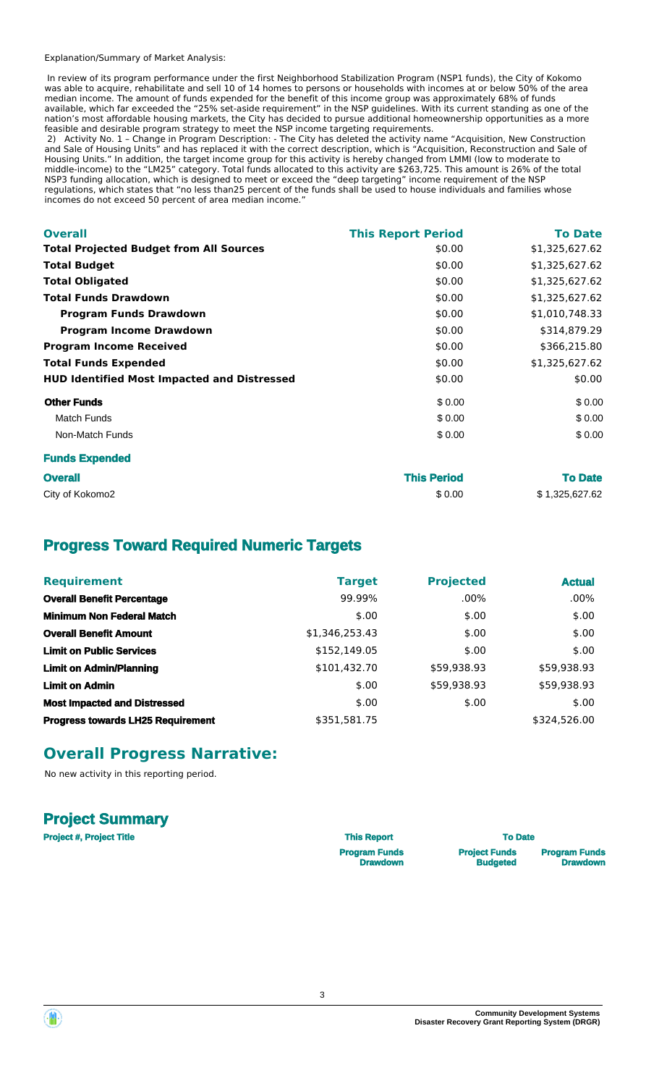#### Explanation/Summary of Market Analysis:

 In review of its program performance under the first Neighborhood Stabilization Program (NSP1 funds), the City of Kokomo was able to acquire, rehabilitate and sell 10 of 14 homes to persons or households with incomes at or below 50% of the area median income. The amount of funds expended for the benefit of this income group was approximately 68% of funds available, which far exceeded the "25% set-aside requirement" in the NSP guidelines. With its current standing as one of the nation's most affordable housing markets, the City has decided to pursue additional homeownership opportunities as a more feasible and desirable program strategy to meet the NSP income targeting requirements.

 2) Activity No. 1 – Change in Program Description: - The City has deleted the activity name "Acquisition, New Construction and Sale of Housing Units" and has replaced it with the correct description, which is "Acquisition, Reconstruction and Sale of Housing Units." In addition, the target income group for this activity is hereby changed from LMMI (low to moderate to middle-income) to the "LM25" category. Total funds allocated to this activity are \$263,725. This amount is 26% of the total NSP3 funding allocation, which is designed to meet or exceed the "deep targeting" income requirement of the NSP regulations, which states that "no less than25 percent of the funds shall be used to house individuals and families whose incomes do not exceed 50 percent of area median income."

| <b>Overall</b>                                     | <b>This Report Period</b> | <b>To Date</b> |
|----------------------------------------------------|---------------------------|----------------|
| <b>Total Projected Budget from All Sources</b>     | \$0.00                    | \$1,325,627.62 |
| <b>Total Budget</b>                                | \$0.00                    | \$1,325,627.62 |
| <b>Total Obligated</b>                             | \$0.00                    | \$1,325,627.62 |
| <b>Total Funds Drawdown</b>                        | \$0.00                    | \$1,325,627.62 |
| <b>Program Funds Drawdown</b>                      | \$0.00                    | \$1,010,748.33 |
| <b>Program Income Drawdown</b>                     | \$0.00                    | \$314,879.29   |
| <b>Program Income Received</b>                     | \$0.00                    | \$366,215.80   |
| <b>Total Funds Expended</b>                        | \$0.00                    | \$1,325,627.62 |
| <b>HUD Identified Most Impacted and Distressed</b> | \$0.00                    | \$0.00         |
| <b>Other Funds</b>                                 | \$0.00                    | \$0.00         |
| <b>Match Funds</b>                                 | \$0.00                    | \$0.00         |
| Non-Match Funds                                    | \$0.00                    | \$0.00         |
| <b>Funds Expended</b>                              |                           |                |

| <b>Overall</b>  | <b>This Period</b> | <b>To Date</b> |
|-----------------|--------------------|----------------|
| City of Kokomo2 | \$0.00             | \$1,325,627.62 |

# **Progress Toward Required Numeric Targets**

| <b>Requirement</b>                       | <b>Target</b>  | <b>Projected</b> | <b>Actual</b> |
|------------------------------------------|----------------|------------------|---------------|
| <b>Overall Benefit Percentage</b>        | 99.99%         | $.00\%$          | $.00\%$       |
| <b>Minimum Non Federal Match</b>         | \$.00          | \$.00            | \$.00         |
| <b>Overall Benefit Amount</b>            | \$1,346,253.43 | \$.00            | \$.00         |
| <b>Limit on Public Services</b>          | \$152,149.05   | \$.00            | \$.00         |
| <b>Limit on Admin/Planning</b>           | \$101,432.70   | \$59,938.93      | \$59,938.93   |
| <b>Limit on Admin</b>                    | \$.00          | \$59,938.93      | \$59,938.93   |
| <b>Most Impacted and Distressed</b>      | \$.00          | \$.00            | \$.00         |
| <b>Progress towards LH25 Requirement</b> | \$351,581.75   |                  | \$324,526.00  |

# **Overall Progress Narrative:**

No new activity in this reporting period.

## **Project Summary**

| <b>Project #, Project Title</b> | <b>This Report</b>   | <b>To Date</b>       |                      |
|---------------------------------|----------------------|----------------------|----------------------|
|                                 | <b>Program Funds</b> | <b>Project Funds</b> | <b>Program Funds</b> |
|                                 | <b>Drawdown</b>      | <b>Budgeted</b>      | <b>Drawdown</b>      |